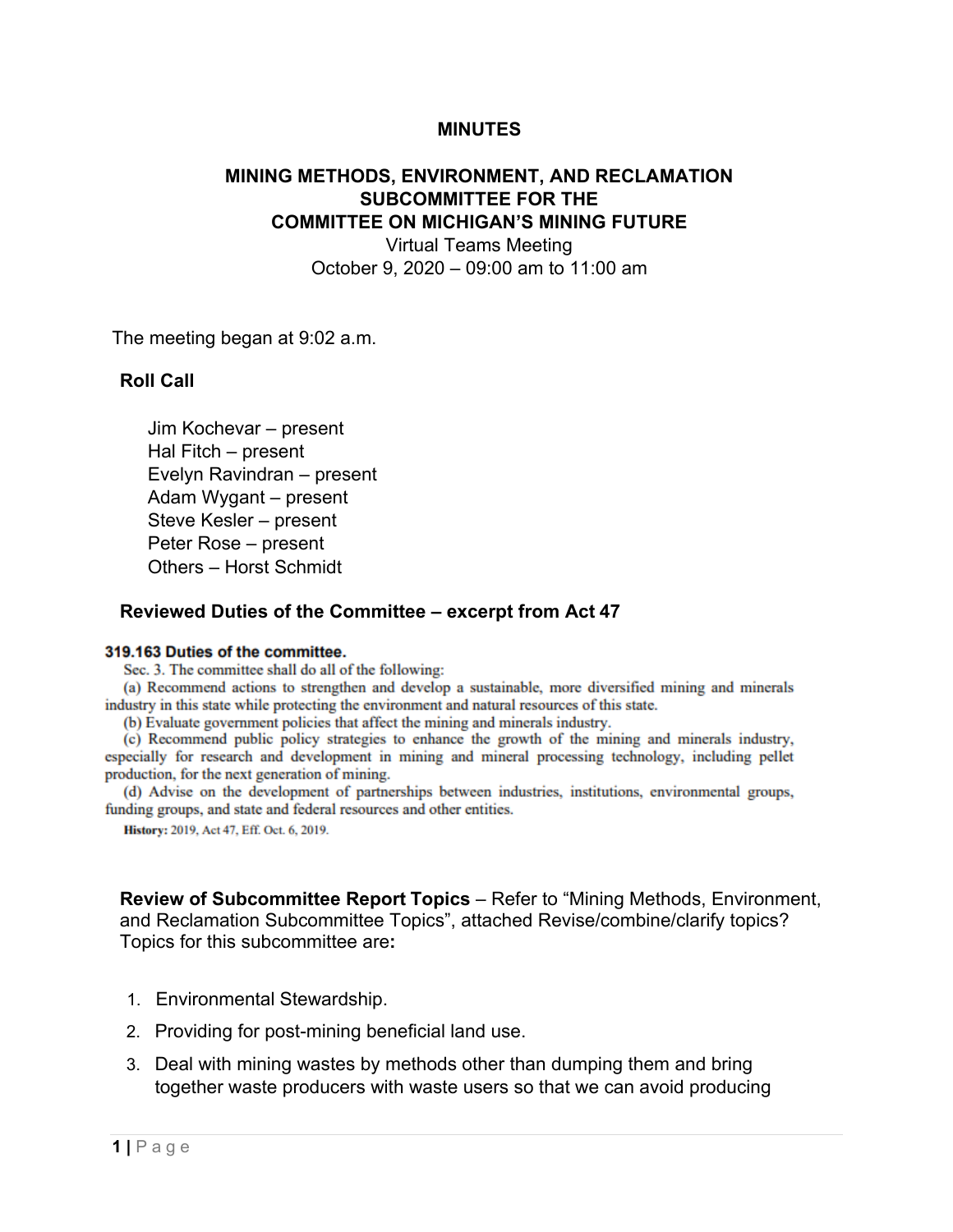## **MINUTES**

# **MINING METHODS, ENVIRONMENT, AND RECLAMATION SUBCOMMITTEE FOR THE COMMITTEE ON MICHIGAN'S MINING FUTURE**

Virtual Teams Meeting October 9, 2020 – 09:00 am to 11:00 am

The meeting began at 9:02 a.m.

## **Roll Call**

Jim Kochevar – present Hal Fitch – present Evelyn Ravindran – present Adam Wygant – present Steve Kesler – present Peter Rose – present Others – Horst Schmidt

#### **Reviewed Duties of the Committee – excerpt from Act 47**

#### 319.163 Duties of the committee.

Sec. 3. The committee shall do all of the following:

(a) Recommend actions to strengthen and develop a sustainable, more diversified mining and minerals industry in this state while protecting the environment and natural resources of this state.

(b) Evaluate government policies that affect the mining and minerals industry.

(c) Recommend public policy strategies to enhance the growth of the mining and minerals industry, especially for research and development in mining and mineral processing technology, including pellet production, for the next generation of mining.

(d) Advise on the development of partnerships between industries, institutions, environmental groups, funding groups, and state and federal resources and other entities.

History: 2019, Act 47, Eff. Oct. 6, 2019.

**Review of Subcommittee Report Topics** – Refer to "Mining Methods, Environment, and Reclamation Subcommittee Topics", attached Revise/combine/clarify topics? Topics for this subcommittee are**:** 

- 1. Environmental Stewardship.
- 2. Providing for post-mining beneficial land use.
- 3. Deal with mining wastes by methods other than dumping them and bring together waste producers with waste users so that we can avoid producing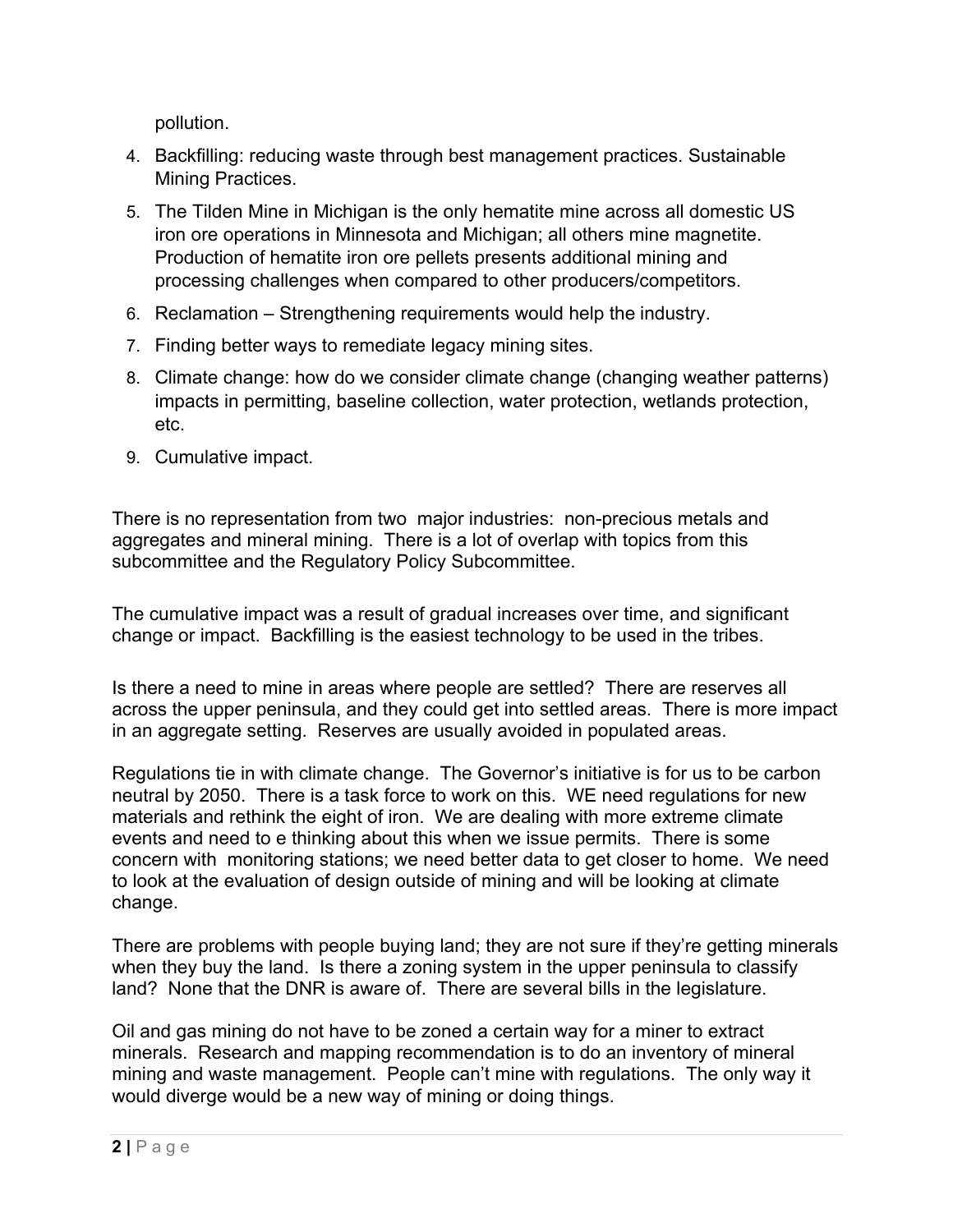pollution.

- 4. Backfilling: reducing waste through best management practices. Sustainable Mining Practices.
- 5. The Tilden Mine in Michigan is the only hematite mine across all domestic US iron ore operations in Minnesota and Michigan; all others mine magnetite. Production of hematite iron ore pellets presents additional mining and processing challenges when compared to other producers/competitors.
- 6. Reclamation Strengthening requirements would help the industry.
- 7. Finding better ways to remediate legacy mining sites.
- 8. Climate change: how do we consider climate change (changing weather patterns) impacts in permitting, baseline collection, water protection, wetlands protection, etc.
- 9. Cumulative impact.

There is no representation from two major industries: non-precious metals and aggregates and mineral mining. There is a lot of overlap with topics from this subcommittee and the Regulatory Policy Subcommittee.

The cumulative impact was a result of gradual increases over time, and significant change or impact. Backfilling is the easiest technology to be used in the tribes.

Is there a need to mine in areas where people are settled? There are reserves all across the upper peninsula, and they could get into settled areas. There is more impact in an aggregate setting. Reserves are usually avoided in populated areas.

Regulations tie in with climate change. The Governor's initiative is for us to be carbon neutral by 2050. There is a task force to work on this. WE need regulations for new materials and rethink the eight of iron. We are dealing with more extreme climate events and need to e thinking about this when we issue permits. There is some concern with monitoring stations; we need better data to get closer to home. We need to look at the evaluation of design outside of mining and will be looking at climate change.

There are problems with people buying land; they are not sure if they're getting minerals when they buy the land. Is there a zoning system in the upper peninsula to classify land? None that the DNR is aware of. There are several bills in the legislature.

Oil and gas mining do not have to be zoned a certain way for a miner to extract minerals. Research and mapping recommendation is to do an inventory of mineral mining and waste management. People can't mine with regulations. The only way it would diverge would be a new way of mining or doing things.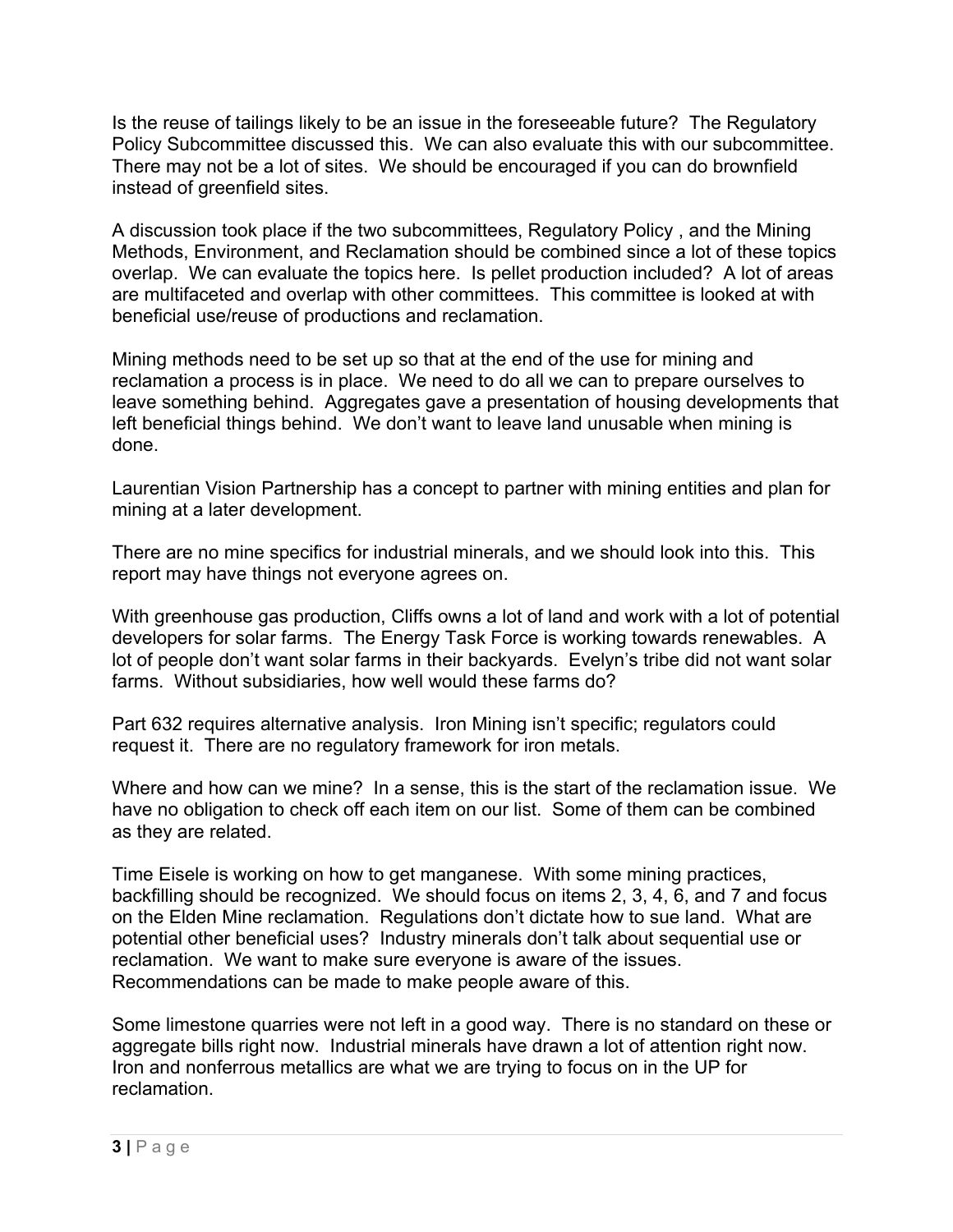Is the reuse of tailings likely to be an issue in the foreseeable future? The Regulatory Policy Subcommittee discussed this. We can also evaluate this with our subcommittee. There may not be a lot of sites. We should be encouraged if you can do brownfield instead of greenfield sites.

A discussion took place if the two subcommittees, Regulatory Policy , and the Mining Methods, Environment, and Reclamation should be combined since a lot of these topics overlap. We can evaluate the topics here. Is pellet production included? A lot of areas are multifaceted and overlap with other committees. This committee is looked at with beneficial use/reuse of productions and reclamation.

Mining methods need to be set up so that at the end of the use for mining and reclamation a process is in place. We need to do all we can to prepare ourselves to leave something behind. Aggregates gave a presentation of housing developments that left beneficial things behind. We don't want to leave land unusable when mining is done.

Laurentian Vision Partnership has a concept to partner with mining entities and plan for mining at a later development.

There are no mine specifics for industrial minerals, and we should look into this. This report may have things not everyone agrees on.

With greenhouse gas production, Cliffs owns a lot of land and work with a lot of potential developers for solar farms. The Energy Task Force is working towards renewables. A lot of people don't want solar farms in their backyards. Evelyn's tribe did not want solar farms. Without subsidiaries, how well would these farms do?

Part 632 requires alternative analysis. Iron Mining isn't specific; regulators could request it. There are no regulatory framework for iron metals.

Where and how can we mine? In a sense, this is the start of the reclamation issue. We have no obligation to check off each item on our list. Some of them can be combined as they are related.

Time Eisele is working on how to get manganese. With some mining practices, backfilling should be recognized. We should focus on items 2, 3, 4, 6, and 7 and focus on the Elden Mine reclamation. Regulations don't dictate how to sue land. What are potential other beneficial uses? Industry minerals don't talk about sequential use or reclamation. We want to make sure everyone is aware of the issues. Recommendations can be made to make people aware of this.

Some limestone quarries were not left in a good way. There is no standard on these or aggregate bills right now. Industrial minerals have drawn a lot of attention right now. Iron and nonferrous metallics are what we are trying to focus on in the UP for reclamation.